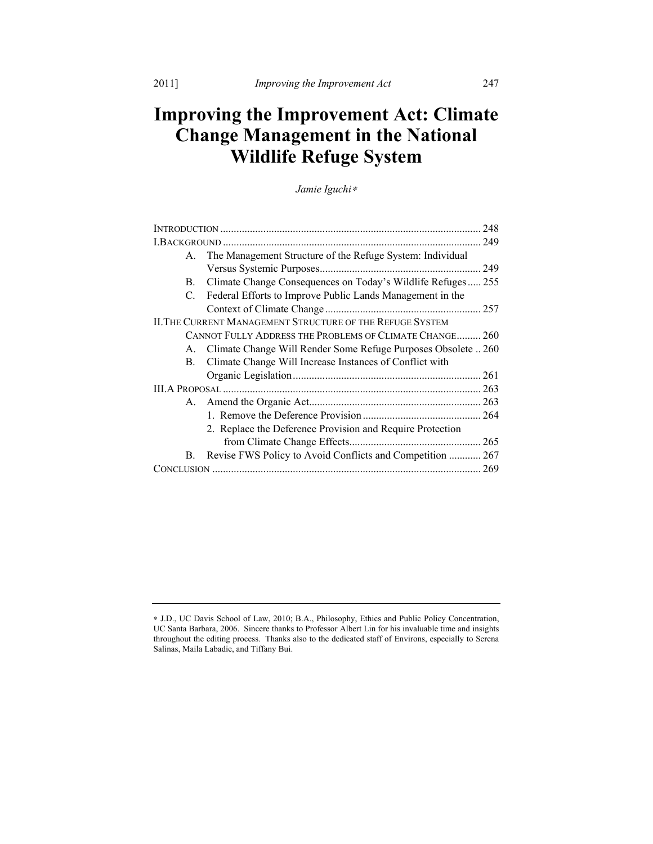# **Improving the Improvement Act: Climate Change Management in the National Wildlife Refuge System**

*Jamie Iguchi*<sup>∗</sup>

|                                                           |                                                                  | 248        |
|-----------------------------------------------------------|------------------------------------------------------------------|------------|
|                                                           |                                                                  | 249        |
| $A_{-}$                                                   | The Management Structure of the Refuge System: Individual        |            |
|                                                           |                                                                  | 249        |
| B.                                                        | Climate Change Consequences on Today's Wildlife Refuges 255      |            |
| C.                                                        | Federal Efforts to Improve Public Lands Management in the        |            |
|                                                           |                                                                  | 257        |
| II. THE CURRENT MANAGEMENT STRUCTURE OF THE REFUGE SYSTEM |                                                                  |            |
| CANNOT FULLY ADDRESS THE PROBLEMS OF CLIMATE CHANGE       |                                                                  | <b>260</b> |
|                                                           | A. Climate Change Will Render Some Refuge Purposes Obsolete  260 |            |
| B.                                                        | Climate Change Will Increase Instances of Conflict with          |            |
|                                                           |                                                                  | .261       |
|                                                           |                                                                  |            |
|                                                           |                                                                  |            |
|                                                           |                                                                  |            |
|                                                           | 2. Replace the Deference Provision and Require Protection        |            |
|                                                           |                                                                  | 265        |
| <b>B.</b>                                                 | Revise FWS Policy to Avoid Conflicts and Competition  267        |            |
|                                                           |                                                                  | 269        |

<sup>∗</sup> J.D., UC Davis School of Law, 2010; B.A., Philosophy, Ethics and Public Policy Concentration, UC Santa Barbara, 2006. Sincere thanks to Professor Albert Lin for his invaluable time and insights throughout the editing process. Thanks also to the dedicated staff of Environs, especially to Serena Salinas, Maila Labadie, and Tiffany Bui.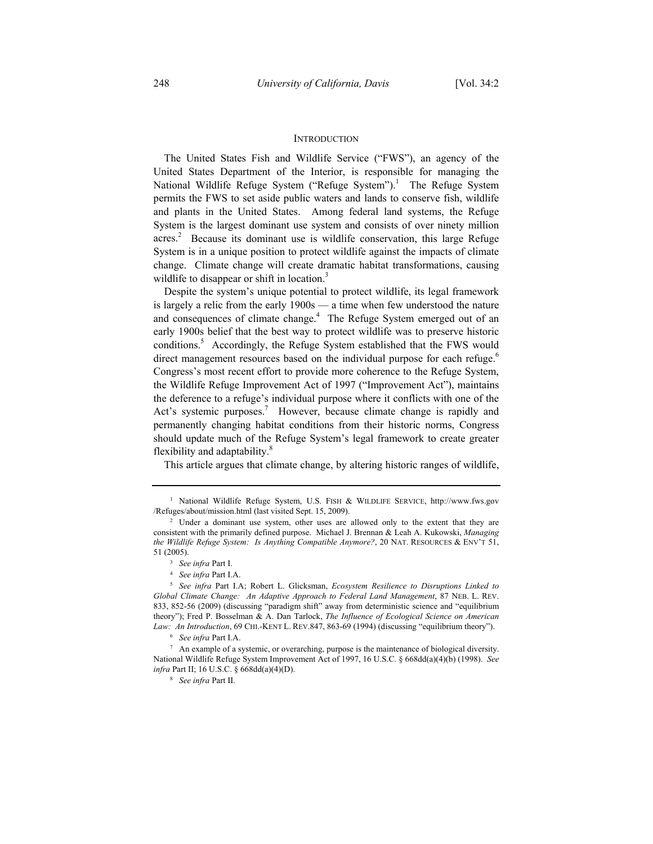#### **INTRODUCTION**

The United States Fish and Wildlife Service ("FWS"), an agency of the United States Department of the Interior, is responsible for managing the National Wildlife Refuge System ("Refuge System").<sup>1</sup> The Refuge System permits the FWS to set aside public waters and lands to conserve fish, wildlife and plants in the United States. Among federal land systems, the Refuge System is the largest dominant use system and consists of over ninety million acres.<sup>2</sup> Because its dominant use is wildlife conservation, this large Refuge System is in a unique position to protect wildlife against the impacts of climate change. Climate change will create dramatic habitat transformations, causing wildlife to disappear or shift in location.<sup>3</sup>

Despite the system's unique potential to protect wildlife, its legal framework is largely a relic from the early 1900s — a time when few understood the nature and consequences of climate change.<sup>4</sup> The Refuge System emerged out of an early 1900s belief that the best way to protect wildlife was to preserve historic conditions.<sup>5</sup> Accordingly, the Refuge System established that the FWS would direct management resources based on the individual purpose for each refuge.<sup>6</sup> Congress's most recent effort to provide more coherence to the Refuge System, the Wildlife Refuge Improvement Act of 1997 ("Improvement Act"), maintains the deference to a refuge's individual purpose where it conflicts with one of the Act's systemic purposes.<sup>7</sup> However, because climate change is rapidly and permanently changing habitat conditions from their historic norms, Congress should update much of the Refuge System's legal framework to create greater flexibility and adaptability.<sup>8</sup>

This article argues that climate change, by altering historic ranges of wildlife,

<sup>1</sup> National Wildlife Refuge System, U.S. FISH & WILDLIFE SERVICE, http://www.fws.gov /Refuges/about/mission.html (last visited Sept. 15, 2009).

<sup>&</sup>lt;sup>2</sup> Under a dominant use system, other uses are allowed only to the extent that they are consistent with the primarily defined purpose. Michael J. Brennan & Leah A. Kukowski, *Managing the Wildlife Refuge System: Is Anything Compatible Anymore?*, 20 NAT. RESOURCES & ENV'T 51, 51 (2005).

<sup>3</sup> *See infra* Part I.

<sup>4</sup> *See infra* Part I.A.

<sup>5</sup> *See infra* Part I.A; Robert L. Glicksman, *Ecosystem Resilience to Disruptions Linked to Global Climate Change: An Adaptive Approach to Federal Land Management*, 87 NEB. L. REV. 833, 852-56 (2009) (discussing "paradigm shift" away from deterministic science and "equilibrium theory"); Fred P. Bosselman & A. Dan Tarlock, *The Influence of Ecological Science on American*  Law: An Introduction, 69 CHI.-KENT L. REV.847, 863-69 (1994) (discussing "equilibrium theory").

*See infra* Part I.A. 7

<sup>&</sup>lt;sup>7</sup> An example of a systemic, or overarching, purpose is the maintenance of biological diversity. National Wildlife Refuge System Improvement Act of 1997, 16 U.S.C. § 668dd(a)(4)(b) (1998). *See infra* Part II; 16 U.S.C. § 668dd(a)(4)(D).

<sup>8</sup> *See infra* Part II.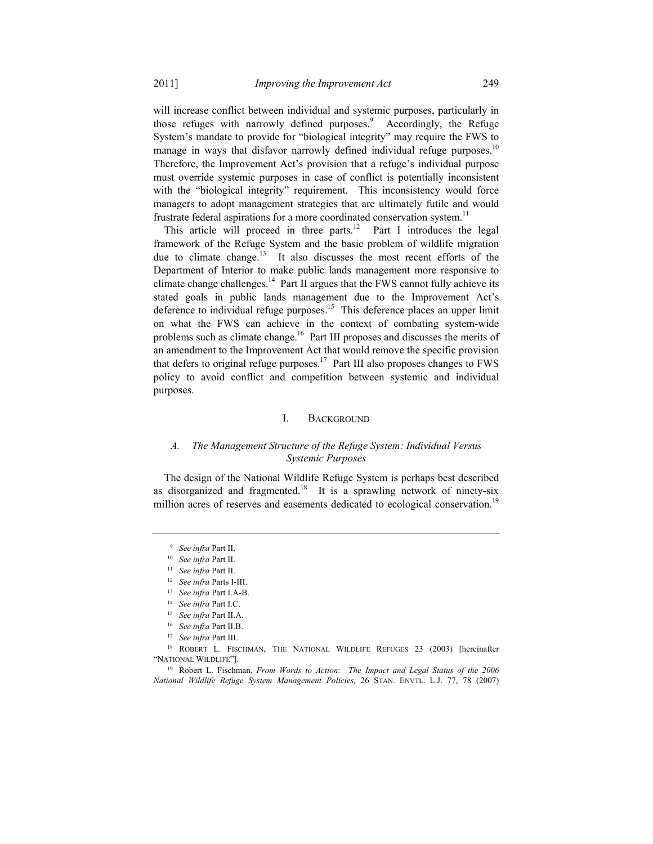will increase conflict between individual and systemic purposes, particularly in those refuges with narrowly defined purposes.<sup>9</sup> Accordingly, the Refuge System's mandate to provide for "biological integrity" may require the FWS to manage in ways that disfavor narrowly defined individual refuge purposes.<sup>10</sup> Therefore, the Improvement Act's provision that a refuge's individual purpose must override systemic purposes in case of conflict is potentially inconsistent with the "biological integrity" requirement. This inconsistency would force managers to adopt management strategies that are ultimately futile and would frustrate federal aspirations for a more coordinated conservation system.<sup>11</sup>

This article will proceed in three parts.<sup>12</sup> Part I introduces the legal framework of the Refuge System and the basic problem of wildlife migration due to climate change.<sup>13</sup> It also discusses the most recent efforts of the Department of Interior to make public lands management more responsive to climate change challenges.<sup>14</sup> Part II argues that the FWS cannot fully achieve its stated goals in public lands management due to the Improvement Act's deference to individual refuge purposes.<sup>15</sup> This deference places an upper limit on what the FWS can achieve in the context of combating system-wide problems such as climate change.<sup>16</sup> Part III proposes and discusses the merits of an amendment to the Improvement Act that would remove the specific provision that defers to original refuge purposes.<sup>17</sup> Part III also proposes changes to FWS policy to avoid conflict and competition between systemic and individual purposes.

#### I. BACKGROUND

## *A. The Management Structure of the Refuge System: Individual Versus Systemic Purposes*

The design of the National Wildlife Refuge System is perhaps best described as disorganized and fragmented.<sup>18</sup> It is a sprawling network of ninety-six million acres of reserves and easements dedicated to ecological conservation.<sup>19</sup>

<sup>&</sup>lt;sup>9</sup> See infra Part II.

<sup>&</sup>lt;sup>9</sup> See infra Part II.<br>
<sup>10</sup> See infra Part II.<br>
<sup>11</sup> See infra Part II.<br>
<sup>12</sup> See infra Part I.A-B.<br>
<sup>13</sup> See infra Part I.A-B.<br>
<sup>14</sup> See infra Part II.A.<br>
<sup>15</sup> See infra Part II.A.<br>
<sup>16</sup> See infra Part II.B.<br>
<sup>17</sup> See i "NATIONAL WILDLIFE"].

<sup>19</sup> Robert L. Fischman, *From Words to Action: The Impact and Legal Status of the 2006 National Wildlife Refuge System Management Policies*, 26 STAN. ENVTL. L.J. 77, 78 (2007)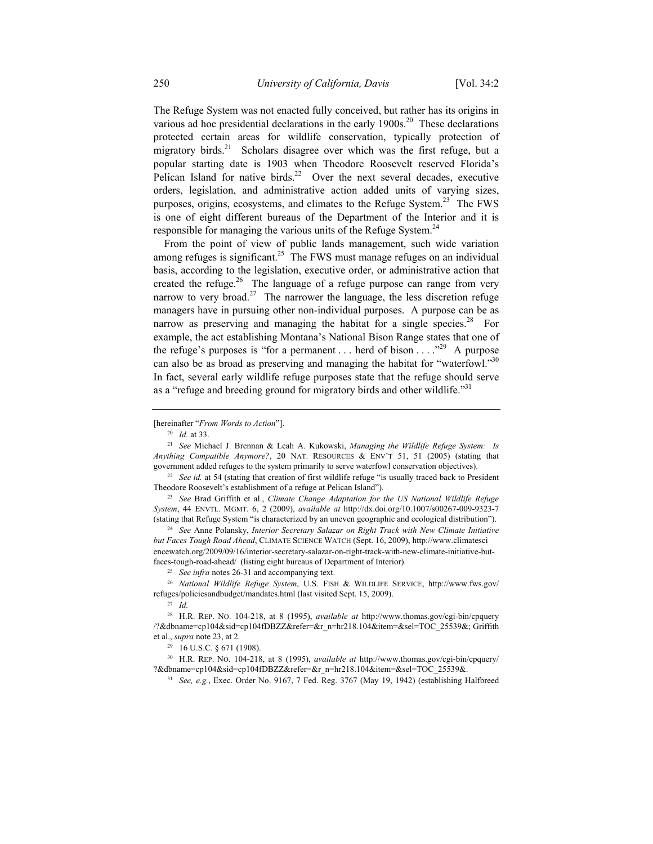The Refuge System was not enacted fully conceived, but rather has its origins in various ad hoc presidential declarations in the early  $1900s$ <sup>20</sup> These declarations protected certain areas for wildlife conservation, typically protection of migratory birds.<sup>21</sup> Scholars disagree over which was the first refuge, but a popular starting date is 1903 when Theodore Roosevelt reserved Florida's Pelican Island for native birds.<sup>22</sup> Over the next several decades, executive orders, legislation, and administrative action added units of varying sizes, purposes, origins, ecosystems, and climates to the Refuge System.<sup>23</sup> The FWS is one of eight different bureaus of the Department of the Interior and it is responsible for managing the various units of the Refuge System.<sup>24</sup>

From the point of view of public lands management, such wide variation among refuges is significant.<sup>25</sup> The FWS must manage refuges on an individual basis, according to the legislation, executive order, or administrative action that created the refuge.<sup>26</sup> The language of a refuge purpose can range from very narrow to very broad.<sup>27</sup> The narrower the language, the less discretion refuge managers have in pursuing other non-individual purposes. A purpose can be as narrow as preserving and managing the habitat for a single species.<sup>28</sup> For example, the act establishing Montana's National Bison Range states that one of the refuge's purposes is "for a permanent ... herd of bison  $\dots$  ..."<sup>29</sup> A purpose can also be as broad as preserving and managing the habitat for "waterfowl."<sup>30</sup> In fact, several early wildlife refuge purposes state that the refuge should serve as a "refuge and breeding ground for migratory birds and other wildlife."<sup>31</sup>

<sup>22</sup> See *id.* at 54 (stating that creation of first wildlife refuge "is usually traced back to President Theodore Roosevelt's establishment of a refuge at Pelican Island"). 23 *See* Brad Griffith et al., *Climate Change Adaptation for the US National Wildlife Refuge* 

*System*, 44 ENVTL. MGMT. 6, 2 (2009), *available at* http://dx.doi.org/10.1007/s00267-009-9323-7 (stating that Refuge System "is characterized by an uneven geographic and ecological distribution").

<sup>24</sup> *See* Anne Polansky, *Interior Secretary Salazar on Right Track with New Climate Initiative but Faces Tough Road Ahead*, CLIMATE SCIENCE WATCH (Sept. 16, 2009), http://www.climatesci encewatch.org/2009/09/16/interior-secretary-salazar-on-right-track-with-new-climate-initiative-butfaces-tough-road-ahead/ (listing eight bureaus of Department of Interior). 25 *See infra* notes 26-31 and accompanying text.

<sup>26</sup> *National Wildlife Refuge System*, U.S. FISH & WILDLIFE SERVICE, http://www.fws.gov/ refuges/policiesandbudget/mandates.html (last visited Sept. 15, 2009).

<sup>27</sup> *Id.*

30 H.R. REP. NO. 104-218, at 8 (1995), *available at* http://www.thomas.gov/cgi-bin/cpquery/ ?&dbname=cp104&sid=cp104fDBZZ&refer=&r\_n=hr218.104&item=&sel=TOC\_25539&.

31 *See, e.g.*, Exec. Order No. 9167, 7 Fed. Reg. 3767 (May 19, 1942) (establishing Halfbreed

<sup>[</sup>hereinafter "*From Words to Action*"].

<sup>20</sup> *Id.* at 33.

<sup>21</sup> *See* Michael J. Brennan & Leah A. Kukowski, *Managing the Wildlife Refuge System: Is Anything Compatible Anymore?*, 20 NAT. RESOURCES & ENV'T 51, 51 (2005) (stating that government added refuges to the system primarily to serve waterfowl conservation objectives).

<sup>28</sup> H.R. REP. NO. 104-218, at 8 (1995), *available at* http://www.thomas.gov/cgi-bin/cpquery /?&dbname=cp104&sid=cp104fDBZZ&refer=&r\_n=hr218.104&item=&sel=TOC\_25539&; Griffith et al., *supra* note 23, at 2.<br><sup>29</sup> 16 U.S.C. § 671 (1908).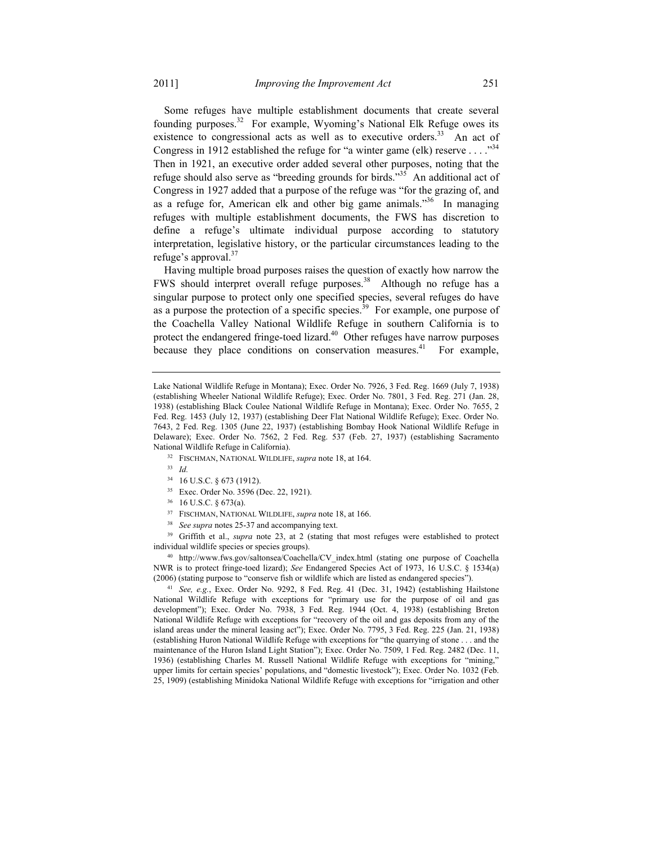Some refuges have multiple establishment documents that create several founding purposes.32 For example, Wyoming's National Elk Refuge owes its existence to congressional acts as well as to executive orders.<sup>33</sup> An act of Congress in 1912 established the refuge for "a winter game (elk) reserve . . . . " $34$ Then in 1921, an executive order added several other purposes, noting that the refuge should also serve as "breeding grounds for birds."<sup>35</sup> An additional act of Congress in 1927 added that a purpose of the refuge was "for the grazing of, and as a refuge for, American elk and other big game animals.<sup>356</sup> In managing refuges with multiple establishment documents, the FWS has discretion to define a refuge's ultimate individual purpose according to statutory interpretation, legislative history, or the particular circumstances leading to the refuge's approval.<sup>37</sup>

Having multiple broad purposes raises the question of exactly how narrow the FWS should interpret overall refuge purposes.<sup>38</sup> Although no refuge has a singular purpose to protect only one specified species, several refuges do have as a purpose the protection of a specific species. $39$  For example, one purpose of the Coachella Valley National Wildlife Refuge in southern California is to protect the endangered fringe-toed lizard.<sup>40</sup> Other refuges have narrow purposes because they place conditions on conservation measures.<sup>41</sup> For example,

- 34 16 U.S.C. § 673 (1912).
- 35 Exec. Order No. 3596 (Dec. 22, 1921).
- 36 16 U.S.C. § 673(a).
- 37 FISCHMAN, NATIONAL WILDLIFE, *supra* note 18, at 166.
- <sup>38</sup> *See supra* notes 25-37 and accompanying text.

<sup>39</sup> Griffith et al., *supra* note 23, at 2 (stating that most refuges were established to protect

individual wildlife species or species groups). 40 http://www.fws.gov/saltonsea/Coachella/CV\_index.html (stating one purpose of Coachella NWR is to protect fringe-toed lizard); *See* Endangered Species Act of 1973, 16 U.S.C. § 1534(a) (2006) (stating purpose to "conserve fish or wildlife which are listed as endangered species").

<sup>41</sup> *See, e.g.*, Exec. Order No. 9292, 8 Fed. Reg. 41 (Dec. 31, 1942) (establishing Hailstone National Wildlife Refuge with exceptions for "primary use for the purpose of oil and gas development"); Exec. Order No. 7938, 3 Fed. Reg. 1944 (Oct. 4, 1938) (establishing Breton National Wildlife Refuge with exceptions for "recovery of the oil and gas deposits from any of the island areas under the mineral leasing act"); Exec. Order No. 7795, 3 Fed. Reg. 225 (Jan. 21, 1938) (establishing Huron National Wildlife Refuge with exceptions for "the quarrying of stone . . . and the maintenance of the Huron Island Light Station"); Exec. Order No. 7509, 1 Fed. Reg. 2482 (Dec. 11, 1936) (establishing Charles M. Russell National Wildlife Refuge with exceptions for "mining," upper limits for certain species' populations, and "domestic livestock"); Exec. Order No. 1032 (Feb. 25, 1909) (establishing Minidoka National Wildlife Refuge with exceptions for "irrigation and other

Lake National Wildlife Refuge in Montana); Exec. Order No. 7926, 3 Fed. Reg. 1669 (July 7, 1938) (establishing Wheeler National Wildlife Refuge); Exec. Order No. 7801, 3 Fed. Reg. 271 (Jan. 28, 1938) (establishing Black Coulee National Wildlife Refuge in Montana); Exec. Order No. 7655, 2 Fed. Reg. 1453 (July 12, 1937) (establishing Deer Flat National Wildlife Refuge); Exec. Order No. 7643, 2 Fed. Reg. 1305 (June 22, 1937) (establishing Bombay Hook National Wildlife Refuge in Delaware); Exec. Order No. 7562, 2 Fed. Reg. 537 (Feb. 27, 1937) (establishing Sacramento National Wildlife Refuge in California).

<sup>32</sup> FISCHMAN, NATIONAL WILDLIFE, *supra* note 18, at 164.

<sup>33</sup> *Id.*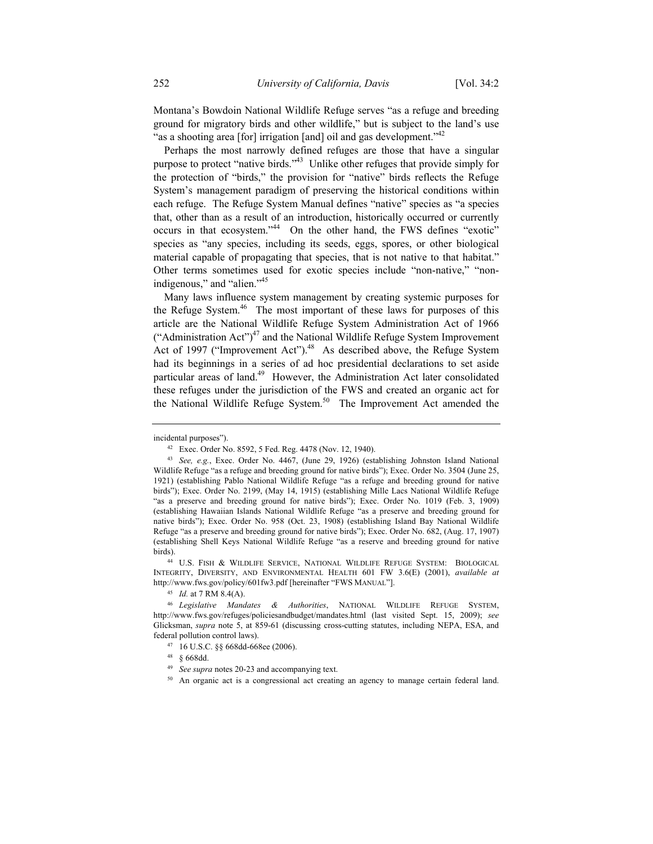Montana's Bowdoin National Wildlife Refuge serves "as a refuge and breeding ground for migratory birds and other wildlife," but is subject to the land's use "as a shooting area [for] irrigation [and] oil and gas development."<sup>42</sup>

Perhaps the most narrowly defined refuges are those that have a singular purpose to protect "native birds."43 Unlike other refuges that provide simply for the protection of "birds," the provision for "native" birds reflects the Refuge System's management paradigm of preserving the historical conditions within each refuge. The Refuge System Manual defines "native" species as "a species that, other than as a result of an introduction, historically occurred or currently occurs in that ecosystem."44 On the other hand, the FWS defines "exotic" species as "any species, including its seeds, eggs, spores, or other biological material capable of propagating that species, that is not native to that habitat." Other terms sometimes used for exotic species include "non-native," "nonindigenous," and "alien."<sup>45</sup>

Many laws influence system management by creating systemic purposes for the Refuge System.<sup>46</sup> The most important of these laws for purposes of this article are the National Wildlife Refuge System Administration Act of 1966 ("Administration Act") $47$  and the National Wildlife Refuge System Improvement Act of 1997 ("Improvement Act").<sup>48</sup> As described above, the Refuge System had its beginnings in a series of ad hoc presidential declarations to set aside particular areas of land.<sup>49</sup> However, the Administration Act later consolidated these refuges under the jurisdiction of the FWS and created an organic act for the National Wildlife Refuge System.<sup>50</sup> The Improvement Act amended the

birds). 44 U.S. FISH & WILDLIFE SERVICE, NATIONAL WILDLIFE REFUGE SYSTEM: BIOLOGICAL INTEGRITY, DIVERSITY, AND ENVIRONMENTAL HEALTH 601 FW 3.6(E) (2001), *available at* http://www.fws.gov/policy/601fw3.pdf [hereinafter "FWS MANUAL"].

<sup>45</sup> *Id.* at 7 RM 8.4(A).

50 An organic act is a congressional act creating an agency to manage certain federal land.

incidental purposes").

<sup>42</sup> Exec. Order No. 8592, 5 Fed. Reg. 4478 (Nov. 12, 1940).

<sup>43</sup> *See, e.g.*, Exec. Order No. 4467, (June 29, 1926) (establishing Johnston Island National Wildlife Refuge "as a refuge and breeding ground for native birds"); Exec. Order No. 3504 (June 25, 1921) (establishing Pablo National Wildlife Refuge "as a refuge and breeding ground for native birds"); Exec. Order No. 2199, (May 14, 1915) (establishing Mille Lacs National Wildlife Refuge "as a preserve and breeding ground for native birds"); Exec. Order No. 1019 (Feb. 3, 1909) (establishing Hawaiian Islands National Wildlife Refuge "as a preserve and breeding ground for native birds"); Exec. Order No. 958 (Oct. 23, 1908) (establishing Island Bay National Wildlife Refuge "as a preserve and breeding ground for native birds"); Exec. Order No. 682, (Aug. 17, 1907) (establishing Shell Keys National Wildlife Refuge "as a reserve and breeding ground for native

<sup>46</sup> *Legislative Mandates & Authorities*, NATIONAL WILDLIFE REFUGE SYSTEM, http://www.fws.gov/refuges/policiesandbudget/mandates.html (last visited Sept. 15, 2009); *see*  Glicksman, *supra* note 5, at 859-61 (discussing cross-cutting statutes, including NEPA, ESA, and federal pollution control laws).

<sup>47 16</sup> U.S.C. §§ 668dd-668ee (2006).

<sup>48 § 668</sup>dd.

<sup>49</sup> *See supra* notes 20-23 and accompanying text.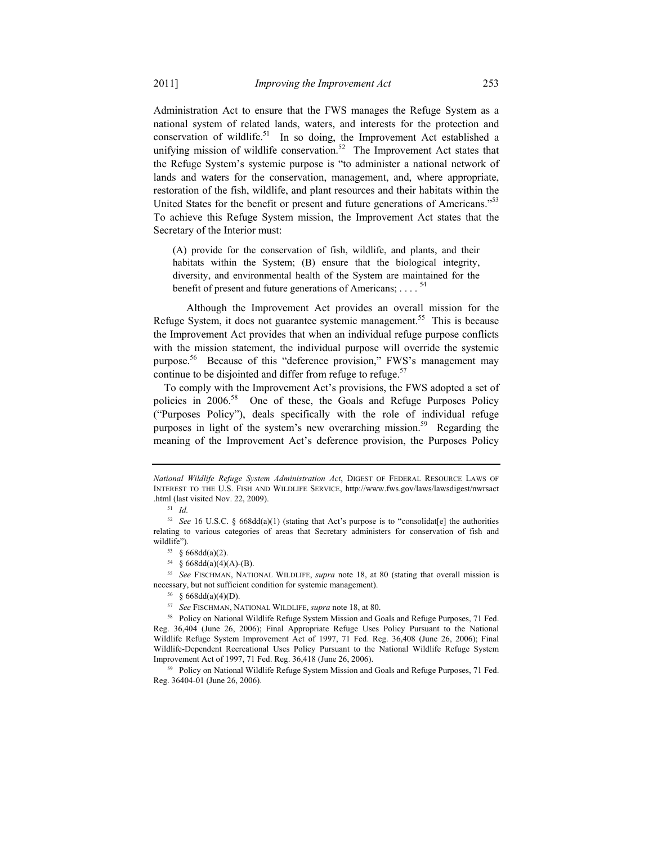Administration Act to ensure that the FWS manages the Refuge System as a national system of related lands, waters, and interests for the protection and conservation of wildlife.<sup>51</sup> In so doing, the Improvement Act established a unifying mission of wildlife conservation.<sup>52</sup> The Improvement Act states that the Refuge System's systemic purpose is "to administer a national network of lands and waters for the conservation, management, and, where appropriate, restoration of the fish, wildlife, and plant resources and their habitats within the United States for the benefit or present and future generations of Americans.<sup>553</sup> To achieve this Refuge System mission, the Improvement Act states that the Secretary of the Interior must:

(A) provide for the conservation of fish, wildlife, and plants, and their habitats within the System; (B) ensure that the biological integrity, diversity, and environmental health of the System are maintained for the benefit of present and future generations of Americans; ....<sup>54</sup>

 Although the Improvement Act provides an overall mission for the Refuge System, it does not guarantee systemic management.<sup>55</sup> This is because the Improvement Act provides that when an individual refuge purpose conflicts with the mission statement, the individual purpose will override the systemic purpose.56 Because of this "deference provision," FWS's management may continue to be disjointed and differ from refuge to refuge.<sup>57</sup>

To comply with the Improvement Act's provisions, the FWS adopted a set of policies in 2006.<sup>58</sup> One of these, the Goals and Refuge Purposes Policy ("Purposes Policy"), deals specifically with the role of individual refuge purposes in light of the system's new overarching mission.<sup>59</sup> Regarding the meaning of the Improvement Act's deference provision, the Purposes Policy

<sup>55</sup> *See* FISCHMAN, NATIONAL WILDLIFE, *supra* note 18, at 80 (stating that overall mission is necessary, but not sufficient condition for systemic management).<br><sup>56</sup> § 668dd(a)(4)(D).<br><sup>57</sup> *See* FISCHMAN, NATIONAL WILDLIFE, *supra* note 18, at 80.

Reg. 36404-01 (June 26, 2006).

*National Wildlife Refuge System Administration Act*, DIGEST OF FEDERAL RESOURCE LAWS OF INTEREST TO THE U.S. FISH AND WILDLIFE SERVICE, http://www.fws.gov/laws/lawsdigest/nwrsact .html (last visited Nov. 22, 2009). 51 *Id.*

<sup>52</sup> *See* 16 U.S.C. § 668dd(a)(1) (stating that Act's purpose is to "consolidat[e] the authorities relating to various categories of areas that Secretary administers for conservation of fish and wildlife").

<sup>53 § 668</sup>dd(a)(2).

<sup>54 § 668</sup>dd(a)(4)(A)-(B).

<sup>&</sup>lt;sup>58</sup> Policy on National Wildlife Refuge System Mission and Goals and Refuge Purposes, 71 Fed. Reg. 36,404 (June 26, 2006); Final Appropriate Refuge Uses Policy Pursuant to the National Wildlife Refuge System Improvement Act of 1997, 71 Fed. Reg. 36,408 (June 26, 2006); Final Wildlife-Dependent Recreational Uses Policy Pursuant to the National Wildlife Refuge System Improvement Act of 1997, 71 Fed. Reg. 36,418 (June 26, 2006). 59 Policy on National Wildlife Refuge System Mission and Goals and Refuge Purposes, 71 Fed.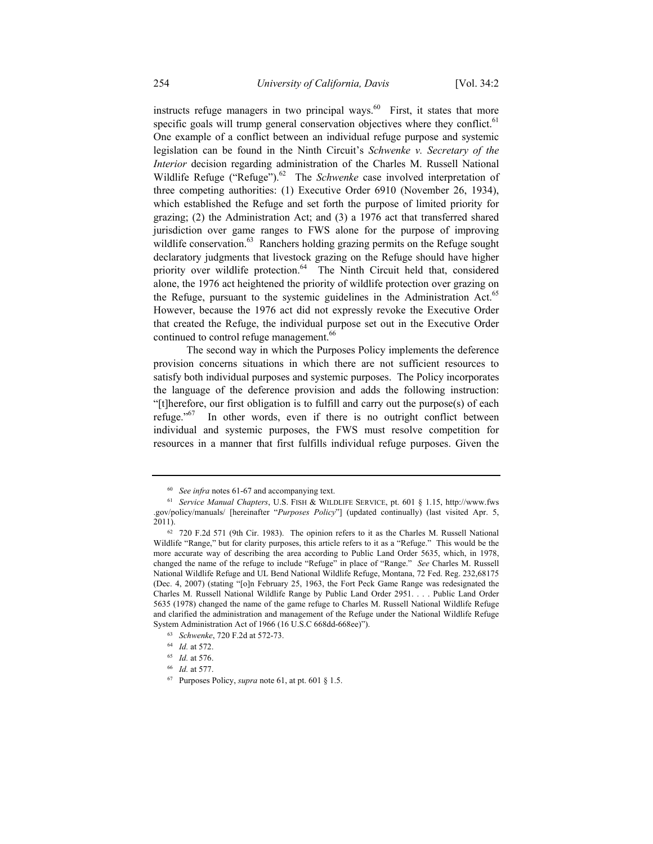instructs refuge managers in two principal ways. $60$  First, it states that more specific goals will trump general conservation objectives where they conflict.<sup>61</sup> One example of a conflict between an individual refuge purpose and systemic legislation can be found in the Ninth Circuit's *Schwenke v. Secretary of the Interior* decision regarding administration of the Charles M. Russell National Wildlife Refuge ("Refuge").<sup>62</sup> The *Schwenke* case involved interpretation of three competing authorities: (1) Executive Order 6910 (November 26, 1934), which established the Refuge and set forth the purpose of limited priority for grazing; (2) the Administration Act; and (3) a 1976 act that transferred shared jurisdiction over game ranges to FWS alone for the purpose of improving wildlife conservation.<sup>63</sup> Ranchers holding grazing permits on the Refuge sought declaratory judgments that livestock grazing on the Refuge should have higher priority over wildlife protection.<sup>64</sup> The Ninth Circuit held that, considered alone, the 1976 act heightened the priority of wildlife protection over grazing on the Refuge, pursuant to the systemic guidelines in the Administration Act. $65$ However, because the 1976 act did not expressly revoke the Executive Order that created the Refuge, the individual purpose set out in the Executive Order continued to control refuge management.<sup>66</sup>

 The second way in which the Purposes Policy implements the deference provision concerns situations in which there are not sufficient resources to satisfy both individual purposes and systemic purposes. The Policy incorporates the language of the deference provision and adds the following instruction: "[t]herefore, our first obligation is to fulfill and carry out the purpose(s) of each refuge."<sup>67</sup> In other words, even if there is no outright conflict between individual and systemic purposes, the FWS must resolve competition for resources in a manner that first fulfills individual refuge purposes. Given the

<sup>60</sup> *See infra* notes 61-67 and accompanying text.

<sup>61</sup> *Service Manual Chapters*, U.S. FISH & WILDLIFE SERVICE, pt. 601 § 1.15, http://www.fws .gov/policy/manuals/ [hereinafter "*Purposes Policy*"] (updated continually) (last visited Apr. 5, 2011).

<sup>62 720</sup> F.2d 571 (9th Cir. 1983). The opinion refers to it as the Charles M. Russell National Wildlife "Range," but for clarity purposes, this article refers to it as a "Refuge." This would be the more accurate way of describing the area according to Public Land Order 5635, which, in 1978, changed the name of the refuge to include "Refuge" in place of "Range." *See* Charles M. Russell National Wildlife Refuge and UL Bend National Wildlife Refuge, Montana, 72 Fed. Reg. 232,68175 (Dec. 4, 2007) (stating "[o]n February 25, 1963, the Fort Peck Game Range was redesignated the Charles M. Russell National Wildlife Range by Public Land Order 2951. . . . Public Land Order 5635 (1978) changed the name of the game refuge to Charles M. Russell National Wildlife Refuge and clarified the administration and management of the Refuge under the National Wildlife Refuge System Administration Act of 1966 (16 U.S.C 668dd-668ee)").

<sup>63</sup> *Schwenke*, 720 F.2d at 572-73.

<sup>64</sup> *Id.* at 572.

<sup>65</sup> *Id.* at 576.

<sup>66</sup> *Id.* at 577.

<sup>67</sup> Purposes Policy, *supra* note 61, at pt. 601 § 1.5.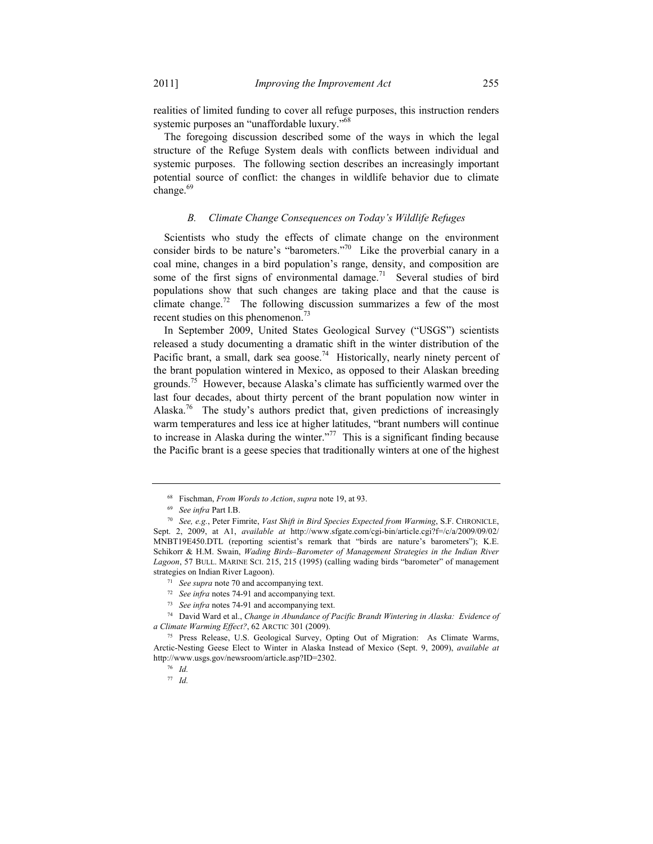realities of limited funding to cover all refuge purposes, this instruction renders systemic purposes an "unaffordable luxury."<sup>6</sup>

The foregoing discussion described some of the ways in which the legal structure of the Refuge System deals with conflicts between individual and systemic purposes. The following section describes an increasingly important potential source of conflict: the changes in wildlife behavior due to climate change. $69$ 

#### *B. Climate Change Consequences on Today's Wildlife Refuges*

Scientists who study the effects of climate change on the environment consider birds to be nature's "barometers."70 Like the proverbial canary in a coal mine, changes in a bird population's range, density, and composition are some of the first signs of environmental damage.<sup>71</sup> Several studies of bird populations show that such changes are taking place and that the cause is climate change.<sup>72</sup> The following discussion summarizes a few of the most recent studies on this phenomenon.<sup>73</sup>

In September 2009, United States Geological Survey ("USGS") scientists released a study documenting a dramatic shift in the winter distribution of the Pacific brant, a small, dark sea goose.<sup>74</sup> Historically, nearly ninety percent of the brant population wintered in Mexico, as opposed to their Alaskan breeding grounds.75 However, because Alaska's climate has sufficiently warmed over the last four decades, about thirty percent of the brant population now winter in Alaska.<sup>76</sup> The study's authors predict that, given predictions of increasingly warm temperatures and less ice at higher latitudes, "brant numbers will continue to increase in Alaska during the winter."<sup>77</sup> This is a significant finding because the Pacific brant is a geese species that traditionally winters at one of the highest

<sup>68</sup> Fischman, *From Words to Action*, *supra* note 19, at 93.

<sup>69</sup> *See infra* Part I.B.

<sup>70</sup> *See, e.g.*, Peter Fimrite, *Vast Shift in Bird Species Expected from Warming*, S.F. CHRONICLE, Sept. 2, 2009, at A1, *available at* http://www.sfgate.com/cgi-bin/article.cgi?f=/c/a/2009/09/02/ MNBT19E450.DTL (reporting scientist's remark that "birds are nature's barometers"); K.E. Schikorr & H.M. Swain, *Wading Birds–Barometer of Management Strategies in the Indian River Lagoon*, 57 BULL. MARINE SCI. 215, 215 (1995) (calling wading birds "barometer" of management strategies on Indian River Lagoon).

<sup>71</sup> *See supra* note 70 and accompanying text.

<sup>72</sup> *See infra* notes 74-91 and accompanying text.

<sup>73</sup> *See infra* notes 74-91 and accompanying text.

<sup>74</sup> David Ward et al., *Change in Abundance of Pacific Brandt Wintering in Alaska: Evidence of a Climate Warming Effect?*, 62 ARCTIC 301 (2009). 75 Press Release, U.S. Geological Survey, Opting Out of Migration: As Climate Warms,

Arctic-Nesting Geese Elect to Winter in Alaska Instead of Mexico (Sept. 9, 2009), *available at*  http://www.usgs.gov/newsroom/article.asp?ID=2302.

<sup>76</sup> *Id.*

<sup>77</sup> *Id.*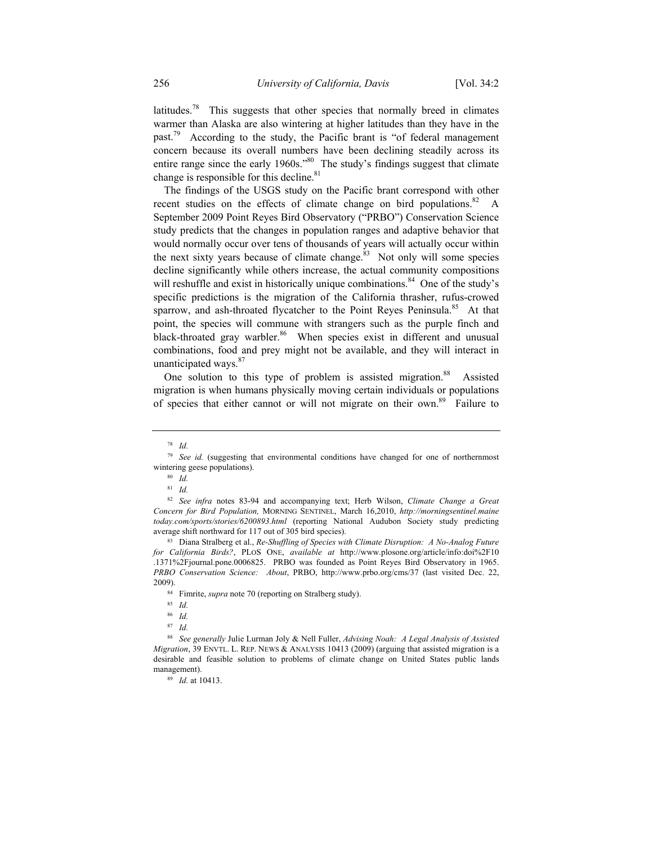latitudes.<sup>78</sup> This suggests that other species that normally breed in climates warmer than Alaska are also wintering at higher latitudes than they have in the past.<sup>79</sup> According to the study, the Pacific brant is "of federal management concern because its overall numbers have been declining steadily across its entire range since the early 1960s."<sup>80</sup> The study's findings suggest that climate change is responsible for this decline. $81$ 

The findings of the USGS study on the Pacific brant correspond with other recent studies on the effects of climate change on bird populations.<sup>82</sup> A September 2009 Point Reyes Bird Observatory ("PRBO") Conservation Science study predicts that the changes in population ranges and adaptive behavior that would normally occur over tens of thousands of years will actually occur within the next sixty years because of climate change.<sup>83</sup> Not only will some species decline significantly while others increase, the actual community compositions will reshuffle and exist in historically unique combinations.<sup>84</sup> One of the study's specific predictions is the migration of the California thrasher, rufus-crowed sparrow, and ash-throated flycatcher to the Point Reyes Peninsula.<sup>85</sup> At that point, the species will commune with strangers such as the purple finch and black-throated gray warbler.<sup>86</sup> When species exist in different and unusual combinations, food and prey might not be available, and they will interact in unanticipated ways.<sup>87</sup>

One solution to this type of problem is assisted migration.<sup>88</sup> Assisted migration is when humans physically moving certain individuals or populations of species that either cannot or will not migrate on their own.<sup>89</sup> Failure to

84 Fimrite, *supra* note 70 (reporting on Stralberg study).

<sup>78</sup> *Id.*

<sup>79</sup> *See id.* (suggesting that environmental conditions have changed for one of northernmost wintering geese populations).<br><sup>80</sup> *Id.* 

<sup>81</sup> *Id.*

<sup>82</sup> *See infra* notes 83-94 and accompanying text; Herb Wilson, *Climate Change a Great Concern for Bird Population,* MORNING SENTINEL, March 16,2010, *http://morningsentinel.maine today.com/sports/stories/6200893.html* (reporting National Audubon Society study predicting average shift northward for 117 out of 305 bird species). 83 Diana Stralberg et al., *Re-Shuffling of Species with Climate Disruption: A No-Analog Future* 

*for California Birds?*, PLOS ONE, *available at* http://www.plosone.org/article/info:doi%2F10 .1371%2Fjournal.pone.0006825. PRBO was founded as Point Reyes Bird Observatory in 1965. *PRBO Conservation Science: About*, PRBO, http://www.prbo.org/cms/37 (last visited Dec. 22, 2009).

<sup>85</sup> *Id.*

<sup>86</sup> *Id.*

<sup>87</sup> *Id.*

<sup>88</sup> *See generally* Julie Lurman Joly & Nell Fuller, *Advising Noah: A Legal Analysis of Assisted Migration*, 39 ENVTL. L. REP. NEWS & ANALYSIS 10413 (2009) (arguing that assisted migration is a desirable and feasible solution to problems of climate change on United States public lands management).

<sup>89</sup> *Id.* at 10413.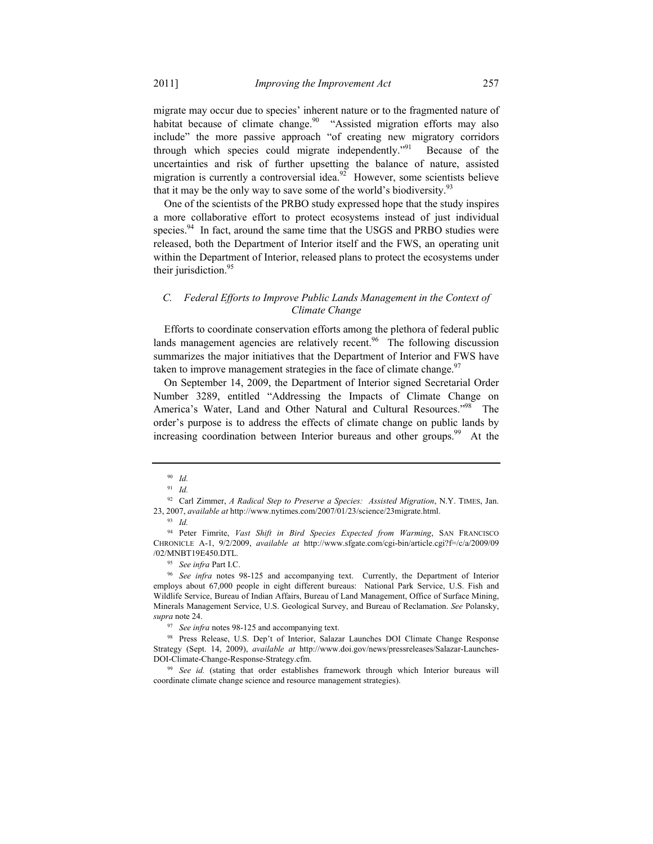migrate may occur due to species' inherent nature or to the fragmented nature of habitat because of climate change.<sup>90</sup> "Assisted migration efforts may also include" the more passive approach "of creating new migratory corridors through which species could migrate independently."<sup>91</sup> Because of the uncertainties and risk of further upsetting the balance of nature, assisted migration is currently a controversial idea.<sup>92</sup> However, some scientists believe that it may be the only way to save some of the world's biodiversity.<sup>93</sup>

One of the scientists of the PRBO study expressed hope that the study inspires a more collaborative effort to protect ecosystems instead of just individual species.<sup>94</sup> In fact, around the same time that the USGS and PRBO studies were released, both the Department of Interior itself and the FWS, an operating unit within the Department of Interior, released plans to protect the ecosystems under their jurisdiction.<sup>95</sup>

## *C. Federal Efforts to Improve Public Lands Management in the Context of Climate Change*

Efforts to coordinate conservation efforts among the plethora of federal public lands management agencies are relatively recent.<sup>96</sup> The following discussion summarizes the major initiatives that the Department of Interior and FWS have taken to improve management strategies in the face of climate change. $97$ 

On September 14, 2009, the Department of Interior signed Secretarial Order Number 3289, entitled "Addressing the Impacts of Climate Change on America's Water, Land and Other Natural and Cultural Resources."<sup>98</sup> The order's purpose is to address the effects of climate change on public lands by increasing coordination between Interior bureaus and other groups.<sup>99</sup> At the

<sup>90</sup> *Id.*

<sup>91</sup> *Id.*

<sup>92</sup> Carl Zimmer, *A Radical Step to Preserve a Species: Assisted Migration*, N.Y. TIMES, Jan. 23, 2007, *available at* http://www.nytimes.com/2007/01/23/science/23migrate.html.

<sup>93</sup> *Id.*

<sup>94</sup> Peter Fimrite, *Vast Shift in Bird Species Expected from Warming*, SAN FRANCISCO CHRONICLE A-1, 9/2/2009, *available at* http://www.sfgate.com/cgi-bin/article.cgi?f=/c/a/2009/09 /02/MNBT19E450.DTL*.*

<sup>95</sup> *See infra* Part I.C. 96 *See infra* notes 98-125 and accompanying text. Currently, the Department of Interior employs about 67,000 people in eight different bureaus: National Park Service, U.S. Fish and Wildlife Service, Bureau of Indian Affairs, Bureau of Land Management, Office of Surface Mining, Minerals Management Service, U.S. Geological Survey, and Bureau of Reclamation. *See* Polansky, *supra* note 24.

<sup>97</sup> *See infra* notes 98-125 and accompanying text.

<sup>98</sup> Press Release, U.S. Dep't of Interior, Salazar Launches DOI Climate Change Response Strategy (Sept. 14, 2009), *available at* http://www.doi.gov/news/pressreleases/Salazar-Launches-DOI-Climate-Change-Response-Strategy.cfm. 99 *See id.* (stating that order establishes framework through which Interior bureaus will

coordinate climate change science and resource management strategies).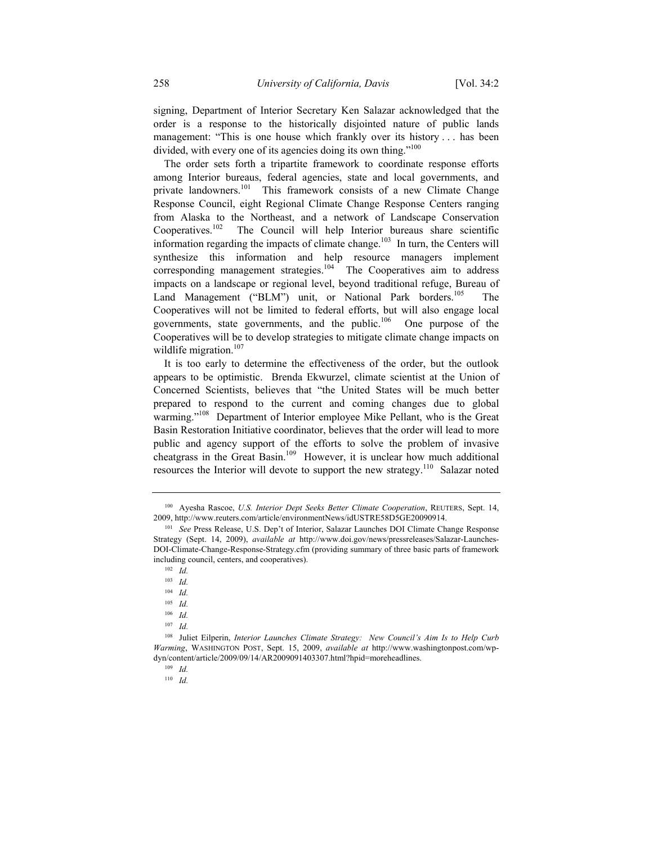signing, Department of Interior Secretary Ken Salazar acknowledged that the order is a response to the historically disjointed nature of public lands management: "This is one house which frankly over its history . . . has been divided, with every one of its agencies doing its own thing."<sup>100</sup>

The order sets forth a tripartite framework to coordinate response efforts among Interior bureaus, federal agencies, state and local governments, and private landowners.<sup>101</sup> This framework consists of a new Climate Change Response Council, eight Regional Climate Change Response Centers ranging from Alaska to the Northeast, and a network of Landscape Conservation Cooperatives.102 The Council will help Interior bureaus share scientific information regarding the impacts of climate change.<sup>103</sup> In turn, the Centers will synthesize this information and help resource managers implement corresponding management strategies.<sup>104</sup> The Cooperatives aim to address impacts on a landscape or regional level, beyond traditional refuge, Bureau of Land Management ("BLM") unit, or National Park borders.<sup>105</sup> The Cooperatives will not be limited to federal efforts, but will also engage local governments, state governments, and the public.<sup>106</sup> One purpose of the Cooperatives will be to develop strategies to mitigate climate change impacts on wildlife migration. $107$ 

It is too early to determine the effectiveness of the order, but the outlook appears to be optimistic. Brenda Ekwurzel, climate scientist at the Union of Concerned Scientists, believes that "the United States will be much better prepared to respond to the current and coming changes due to global warming."<sup>108</sup> Department of Interior employee Mike Pellant, who is the Great Basin Restoration Initiative coordinator, believes that the order will lead to more public and agency support of the efforts to solve the problem of invasive cheatgrass in the Great Basin.<sup>109</sup> However, it is unclear how much additional resources the Interior will devote to support the new strategy.<sup>110</sup> Salazar noted

<sup>103</sup> *Id.*

<sup>104</sup> *Id.*

<sup>105</sup> *Id.*

<sup>106</sup> *Id.*

<sup>107</sup> *Id.*

<sup>109</sup> *Id.*

110 *Id.*

<sup>100</sup> Ayesha Rascoe, *U.S. Interior Dept Seeks Better Climate Cooperation*, REUTERS, Sept. 14, 2009, http://www.reuters.com/article/environmentNews/idUSTRE58D5GE20090914. 101 *See* Press Release, U.S. Dep't of Interior, Salazar Launches DOI Climate Change Response

Strategy (Sept. 14, 2009), *available at* http://www.doi.gov/news/pressreleases/Salazar-Launches-DOI-Climate-Change-Response-Strategy.cfm (providing summary of three basic parts of framework including council, centers, and cooperatives). 102 *Id.*

<sup>108</sup> Juliet Eilperin, *Interior Launches Climate Strategy: New Council's Aim Is to Help Curb Warming*, WASHINGTON POST, Sept. 15, 2009, *available at* http://www.washingtonpost.com/wpdyn/content/article/2009/09/14/AR2009091403307.html?hpid=moreheadlines.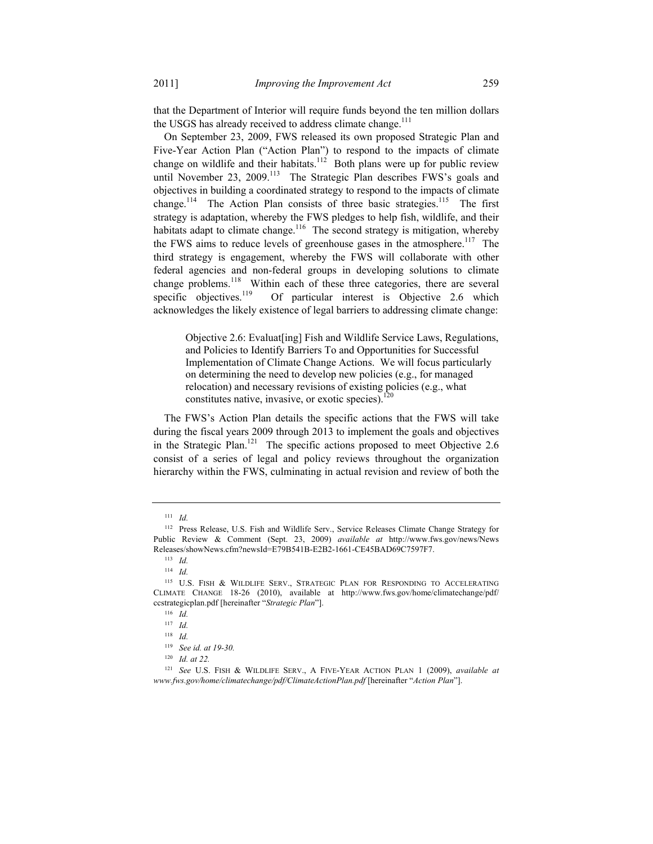that the Department of Interior will require funds beyond the ten million dollars the USGS has already received to address climate change.<sup>111</sup>

On September 23, 2009, FWS released its own proposed Strategic Plan and Five-Year Action Plan ("Action Plan") to respond to the impacts of climate change on wildlife and their habitats.<sup>112</sup> Both plans were up for public review until November 23, 2009.<sup>113</sup> The Strategic Plan describes FWS's goals and objectives in building a coordinated strategy to respond to the impacts of climate change.<sup>114</sup> The Action Plan consists of three basic strategies.<sup>115</sup> The first strategy is adaptation, whereby the FWS pledges to help fish, wildlife, and their habitats adapt to climate change.<sup>116</sup> The second strategy is mitigation, whereby the FWS aims to reduce levels of greenhouse gases in the atmosphere.<sup>117</sup> The third strategy is engagement, whereby the FWS will collaborate with other federal agencies and non-federal groups in developing solutions to climate change problems.118 Within each of these three categories, there are several specific objectives.<sup>119</sup> Of particular interest is Objective 2.6 which acknowledges the likely existence of legal barriers to addressing climate change:

 Objective 2.6: Evaluat[ing] Fish and Wildlife Service Laws, Regulations, and Policies to Identify Barriers To and Opportunities for Successful Implementation of Climate Change Actions. We will focus particularly on determining the need to develop new policies (e.g., for managed relocation) and necessary revisions of existing policies (e.g., what constitutes native, invasive, or exotic species). $120$ 

The FWS's Action Plan details the specific actions that the FWS will take during the fiscal years 2009 through 2013 to implement the goals and objectives in the Strategic Plan.<sup>121</sup> The specific actions proposed to meet Objective 2.6 consist of a series of legal and policy reviews throughout the organization hierarchy within the FWS, culminating in actual revision and review of both the

<sup>111</sup> *Id.*

<sup>112</sup> Press Release, U.S. Fish and Wildlife Serv., Service Releases Climate Change Strategy for Public Review & Comment (Sept. 23, 2009) *available at* http://www.fws.gov/news/News Releases/showNews.cfm?newsId=E79B541B-E2B2-1661-CE45BAD69C7597F7.

<sup>113</sup> *Id.*

<sup>114</sup> *Id.*

<sup>115</sup> U.S. FISH & WILDLIFE SERV., STRATEGIC PLAN FOR RESPONDING TO ACCELERATING CLIMATE CHANGE 18-26 (2010), available at http://www.fws.gov/home/climatechange/pdf/ ccstrategicplan.pdf [hereinafter "*Strategic Plan*"].

<sup>116</sup> *Id.*

<sup>117</sup> *Id.*

<sup>118</sup> *Id.*

<sup>119</sup> *See id. at 19-30.*

<sup>120</sup> *Id. at 22.*

<sup>121</sup> *See* U.S. FISH & WILDLIFE SERV., A FIVE-YEAR ACTION PLAN 1 (2009), *available at www.fws.gov/home/climatechange/pdf/ClimateActionPlan.pdf* [hereinafter "*Action Plan*"].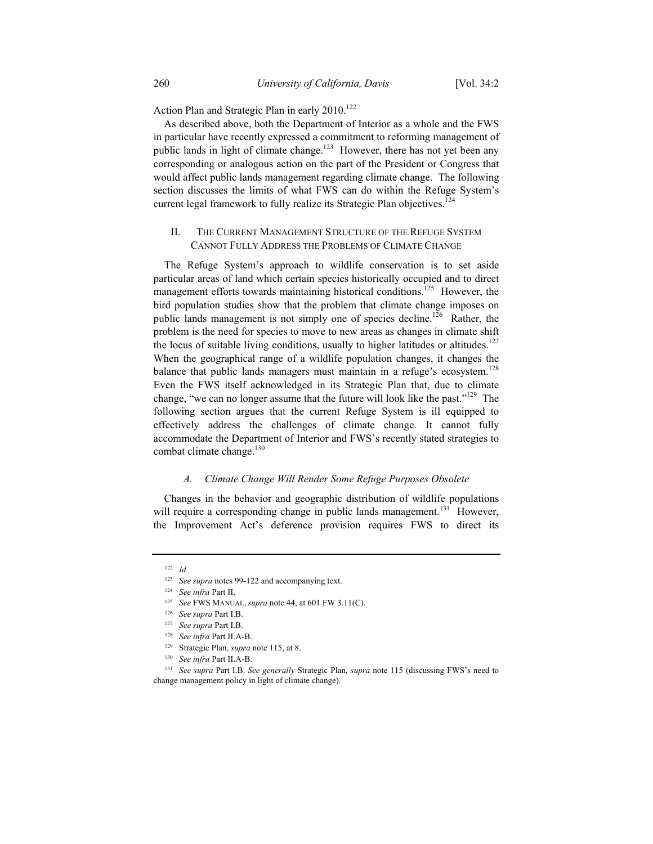Action Plan and Strategic Plan in early 2010.<sup>122</sup>

As described above, both the Department of Interior as a whole and the FWS in particular have recently expressed a commitment to reforming management of public lands in light of climate change.<sup>123</sup> However, there has not yet been any corresponding or analogous action on the part of the President or Congress that would affect public lands management regarding climate change. The following section discusses the limits of what FWS can do within the Refuge System's current legal framework to fully realize its Strategic Plan objectives.<sup>124</sup>

## II. THE CURRENT MANAGEMENT STRUCTURE OF THE REFUGE SYSTEM CANNOT FULLY ADDRESS THE PROBLEMS OF CLIMATE CHANGE

The Refuge System's approach to wildlife conservation is to set aside particular areas of land which certain species historically occupied and to direct management efforts towards maintaining historical conditions.<sup>125</sup> However, the bird population studies show that the problem that climate change imposes on public lands management is not simply one of species decline.<sup>126</sup> Rather, the problem is the need for species to move to new areas as changes in climate shift the locus of suitable living conditions, usually to higher latitudes or altitudes.<sup>127</sup> When the geographical range of a wildlife population changes, it changes the balance that public lands managers must maintain in a refuge's ecosystem.<sup>128</sup> Even the FWS itself acknowledged in its Strategic Plan that, due to climate change, "we can no longer assume that the future will look like the past."<sup>129</sup> The following section argues that the current Refuge System is ill equipped to effectively address the challenges of climate change. It cannot fully accommodate the Department of Interior and FWS's recently stated strategies to combat climate change.<sup>130</sup>

#### *A. Climate Change Will Render Some Refuge Purposes Obsolete*

Changes in the behavior and geographic distribution of wildlife populations will require a corresponding change in public lands management.<sup>131</sup> However, the Improvement Act's deference provision requires FWS to direct its

<sup>122</sup> *Id.*

<sup>123</sup> *See supra* notes 99-122 and accompanying text.

<sup>124</sup> *See infra* Part II.

<sup>125</sup> *See* FWS MANUAL, *supra* note 44, at 601 FW 3.11(C).

<sup>126</sup> *See supra* Part I.B.

<sup>127</sup> *See supra* Part I.B.

<sup>128</sup> *See infra* Part II.A-B.

<sup>129</sup> Strategic Plan, *supra* note 115, at 8.

<sup>130</sup> *See infra* Part II.A-B.

<sup>131</sup> *See supra* Part I.B. *See generally* Strategic Plan, *supra* note 115 (discussing FWS's need to change management policy in light of climate change).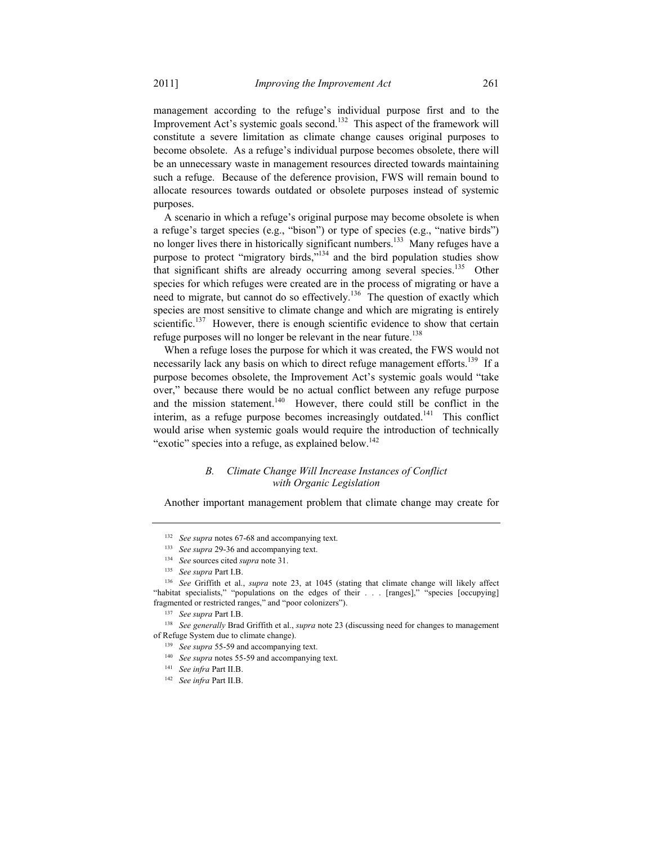management according to the refuge's individual purpose first and to the Improvement Act's systemic goals second.<sup>132</sup> This aspect of the framework will constitute a severe limitation as climate change causes original purposes to become obsolete. As a refuge's individual purpose becomes obsolete, there will be an unnecessary waste in management resources directed towards maintaining such a refuge. Because of the deference provision, FWS will remain bound to allocate resources towards outdated or obsolete purposes instead of systemic purposes.

A scenario in which a refuge's original purpose may become obsolete is when a refuge's target species (e.g., "bison") or type of species (e.g., "native birds") no longer lives there in historically significant numbers.<sup>133</sup> Many refuges have a purpose to protect "migratory birds,"134 and the bird population studies show that significant shifts are already occurring among several species.<sup>135</sup> Other species for which refuges were created are in the process of migrating or have a need to migrate, but cannot do so effectively.<sup>136</sup> The question of exactly which species are most sensitive to climate change and which are migrating is entirely scientific.<sup>137</sup> However, there is enough scientific evidence to show that certain refuge purposes will no longer be relevant in the near future.<sup>138</sup>

When a refuge loses the purpose for which it was created, the FWS would not necessarily lack any basis on which to direct refuge management efforts.<sup>139</sup> If a purpose becomes obsolete, the Improvement Act's systemic goals would "take over," because there would be no actual conflict between any refuge purpose and the mission statement.<sup>140</sup> However, there could still be conflict in the interim, as a refuge purpose becomes increasingly outdated.<sup>141</sup> This conflict would arise when systemic goals would require the introduction of technically "exotic" species into a refuge, as explained below.<sup>142</sup>

## *B. Climate Change Will Increase Instances of Conflict with Organic Legislation*

Another important management problem that climate change may create for

<sup>132</sup> *See supra* notes 67-68 and accompanying text.

<sup>&</sup>lt;sup>133</sup> See supra 29-36 and accompanying text.

<sup>134</sup> *See* sources cited *supra* note 31.

<sup>135</sup> *See supra* Part I.B.

<sup>136</sup> *See* Griffith et al., *supra* note 23, at 1045 (stating that climate change will likely affect "habitat specialists," "populations on the edges of their . . . [ranges]," "species [occupying] fragmented or restricted ranges," and "poor colonizers"). 137 *See supra* Part I.B.

<sup>138</sup> *See generally* Brad Griffith et al., *supra* note 23 (discussing need for changes to management of Refuge System due to climate change).

<sup>139</sup> *See supra* 55-59 and accompanying text.

<sup>140</sup> *See supra* notes 55-59 and accompanying text.

<sup>141</sup> *See infra* Part II.B.

<sup>142</sup> *See infra* Part II.B.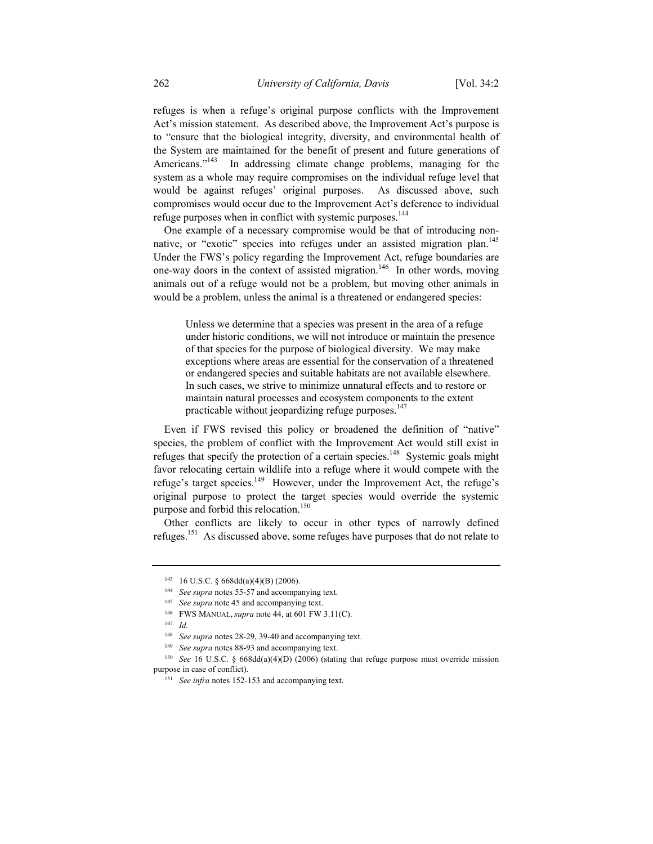refuges is when a refuge's original purpose conflicts with the Improvement Act's mission statement. As described above, the Improvement Act's purpose is to "ensure that the biological integrity, diversity, and environmental health of the System are maintained for the benefit of present and future generations of Americans."<sup>143</sup> In addressing climate change problems, managing for the system as a whole may require compromises on the individual refuge level that would be against refuges' original purposes. As discussed above, such compromises would occur due to the Improvement Act's deference to individual refuge purposes when in conflict with systemic purposes.<sup>144</sup>

One example of a necessary compromise would be that of introducing nonnative, or "exotic" species into refuges under an assisted migration plan.<sup>145</sup> Under the FWS's policy regarding the Improvement Act, refuge boundaries are one-way doors in the context of assisted migration.<sup>146</sup> In other words, moving animals out of a refuge would not be a problem, but moving other animals in would be a problem, unless the animal is a threatened or endangered species:

 Unless we determine that a species was present in the area of a refuge under historic conditions, we will not introduce or maintain the presence of that species for the purpose of biological diversity. We may make exceptions where areas are essential for the conservation of a threatened or endangered species and suitable habitats are not available elsewhere. In such cases, we strive to minimize unnatural effects and to restore or maintain natural processes and ecosystem components to the extent practicable without jeopardizing refuge purposes.<sup>147</sup>

Even if FWS revised this policy or broadened the definition of "native" species, the problem of conflict with the Improvement Act would still exist in refuges that specify the protection of a certain species.<sup>148</sup> Systemic goals might favor relocating certain wildlife into a refuge where it would compete with the refuge's target species.<sup>149</sup> However, under the Improvement Act, the refuge's original purpose to protect the target species would override the systemic purpose and forbid this relocation.<sup>150</sup>

Other conflicts are likely to occur in other types of narrowly defined refuges.151 As discussed above, some refuges have purposes that do not relate to

<sup>143 16</sup> U.S.C. § 668dd(a)(4)(B) (2006).

<sup>144</sup> *See supra* notes 55-57 and accompanying text.

<sup>145</sup> *See supra* note 45 and accompanying text.

<sup>146</sup> FWS MANUAL, *supra* note 44, at 601 FW 3.11(C).

<sup>147</sup> *Id.*

<sup>148</sup> *See supra* notes 28-29, 39-40 and accompanying text.

<sup>149</sup> *See supra* notes 88-93 and accompanying text.

<sup>150</sup> *See* 16 U.S.C. § 668dd(a)(4)(D) (2006) (stating that refuge purpose must override mission purpose in case of conflict).

<sup>&</sup>lt;sup>151</sup> See infra notes 152-153 and accompanying text.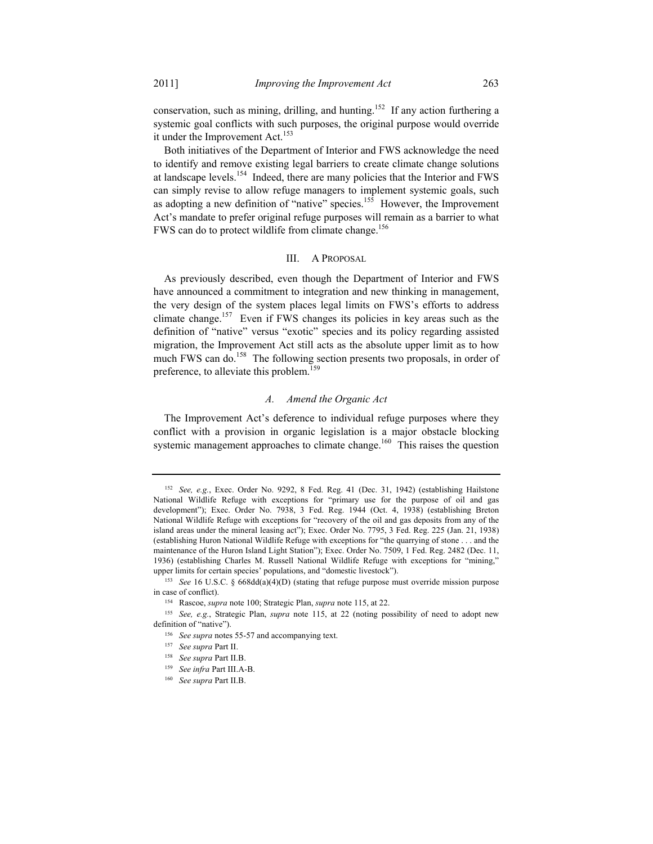conservation, such as mining, drilling, and hunting.<sup>152</sup> If any action furthering a systemic goal conflicts with such purposes, the original purpose would override it under the Improvement Act.<sup>153</sup>

Both initiatives of the Department of Interior and FWS acknowledge the need to identify and remove existing legal barriers to create climate change solutions at landscape levels.154 Indeed, there are many policies that the Interior and FWS can simply revise to allow refuge managers to implement systemic goals, such as adopting a new definition of "native" species.<sup>155</sup> However, the Improvement Act's mandate to prefer original refuge purposes will remain as a barrier to what FWS can do to protect wildlife from climate change.<sup>156</sup>

#### III. A PROPOSAL

As previously described, even though the Department of Interior and FWS have announced a commitment to integration and new thinking in management, the very design of the system places legal limits on FWS's efforts to address climate change.157 Even if FWS changes its policies in key areas such as the definition of "native" versus "exotic" species and its policy regarding assisted migration, the Improvement Act still acts as the absolute upper limit as to how much FWS can do.<sup>158</sup> The following section presents two proposals, in order of preference, to alleviate this problem.<sup>159</sup>

#### *A. Amend the Organic Act*

The Improvement Act's deference to individual refuge purposes where they conflict with a provision in organic legislation is a major obstacle blocking systemic management approaches to climate change.<sup>160</sup> This raises the question

<sup>152</sup> *See, e.g.*, Exec. Order No. 9292, 8 Fed. Reg. 41 (Dec. 31, 1942) (establishing Hailstone National Wildlife Refuge with exceptions for "primary use for the purpose of oil and gas development"); Exec. Order No. 7938, 3 Fed. Reg. 1944 (Oct. 4, 1938) (establishing Breton National Wildlife Refuge with exceptions for "recovery of the oil and gas deposits from any of the island areas under the mineral leasing act"); Exec. Order No. 7795, 3 Fed. Reg. 225 (Jan. 21, 1938) (establishing Huron National Wildlife Refuge with exceptions for "the quarrying of stone . . . and the maintenance of the Huron Island Light Station"); Exec. Order No. 7509, 1 Fed. Reg. 2482 (Dec. 11, 1936) (establishing Charles M. Russell National Wildlife Refuge with exceptions for "mining," upper limits for certain species' populations, and "domestic livestock"). 153 *See* 16 U.S.C. § 668dd(a)(4)(D) (stating that refuge purpose must override mission purpose

in case of conflict). 154 Rascoe, *supra* note 100; Strategic Plan, *supra* note 115, at 22.

<sup>155</sup> *See, e.g.*, Strategic Plan, *supra* note 115, at 22 (noting possibility of need to adopt new definition of "native").

<sup>156</sup> *See supra* notes 55-57 and accompanying text.

<sup>157</sup> *See supra* Part II.

<sup>158</sup> *See supra* Part II.B.

<sup>159</sup> *See infra* Part III.A-B.

<sup>160</sup> *See supra* Part II.B.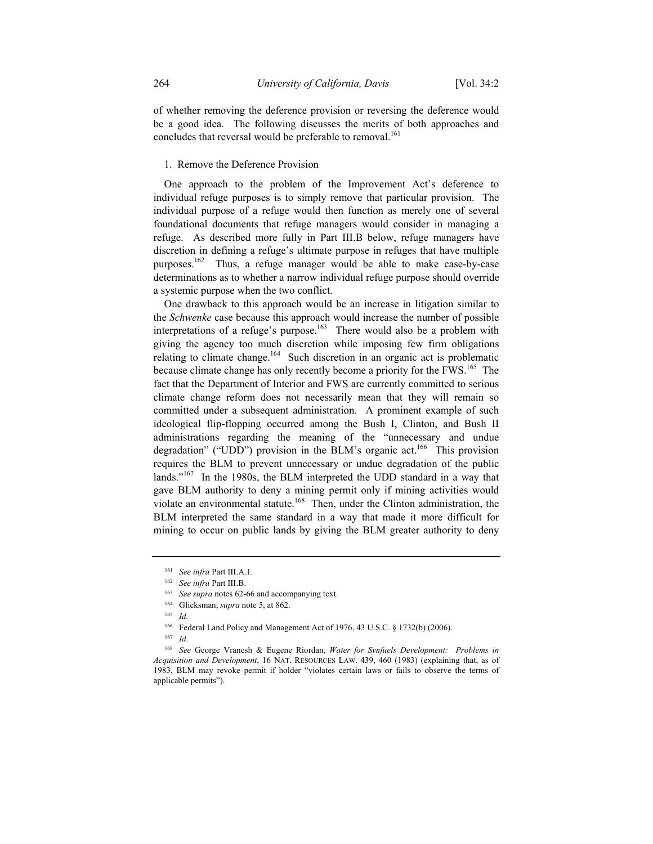of whether removing the deference provision or reversing the deference would be a good idea. The following discusses the merits of both approaches and concludes that reversal would be preferable to removal.<sup>161</sup>

# 1. Remove the Deference Provision

One approach to the problem of the Improvement Act's deference to individual refuge purposes is to simply remove that particular provision. The individual purpose of a refuge would then function as merely one of several foundational documents that refuge managers would consider in managing a refuge. As described more fully in Part III.B below, refuge managers have discretion in defining a refuge's ultimate purpose in refuges that have multiple purposes.162 Thus, a refuge manager would be able to make case-by-case determinations as to whether a narrow individual refuge purpose should override a systemic purpose when the two conflict.

One drawback to this approach would be an increase in litigation similar to the *Schwenke* case because this approach would increase the number of possible interpretations of a refuge's purpose.<sup>163</sup> There would also be a problem with giving the agency too much discretion while imposing few firm obligations relating to climate change.<sup>164</sup> Such discretion in an organic act is problematic because climate change has only recently become a priority for the FWS.<sup>165</sup> The fact that the Department of Interior and FWS are currently committed to serious climate change reform does not necessarily mean that they will remain so committed under a subsequent administration. A prominent example of such ideological flip-flopping occurred among the Bush I, Clinton, and Bush II administrations regarding the meaning of the "unnecessary and undue degradation" ("UDD") provision in the BLM's organic act.<sup>166</sup> This provision requires the BLM to prevent unnecessary or undue degradation of the public lands."<sup>167</sup> In the 1980s, the BLM interpreted the UDD standard in a way that gave BLM authority to deny a mining permit only if mining activities would violate an environmental statute.<sup>168</sup> Then, under the Clinton administration, the BLM interpreted the same standard in a way that made it more difficult for mining to occur on public lands by giving the BLM greater authority to deny

<sup>161</sup> *See infra* Part III.A.1.

<sup>162</sup> *See infra* Part III.B.

<sup>163</sup> *See supra* notes 62-66 and accompanying text.

<sup>164</sup> Glicksman, *supra* note 5, at 862.

<sup>165</sup> *Id.*

<sup>166</sup> Federal Land Policy and Management Act of 1976, 43 U.S.C. § 1732(b) (2006).

<sup>167</sup> *Id.*

<sup>168</sup> *See* George Vranesh & Eugene Riordan, *Water for Synfuels Development: Problems in Acquisition and Development*, 16 NAT. RESOURCES LAW. 439, 460 (1983) (explaining that, as of 1983, BLM may revoke permit if holder "violates certain laws or fails to observe the terms of applicable permits").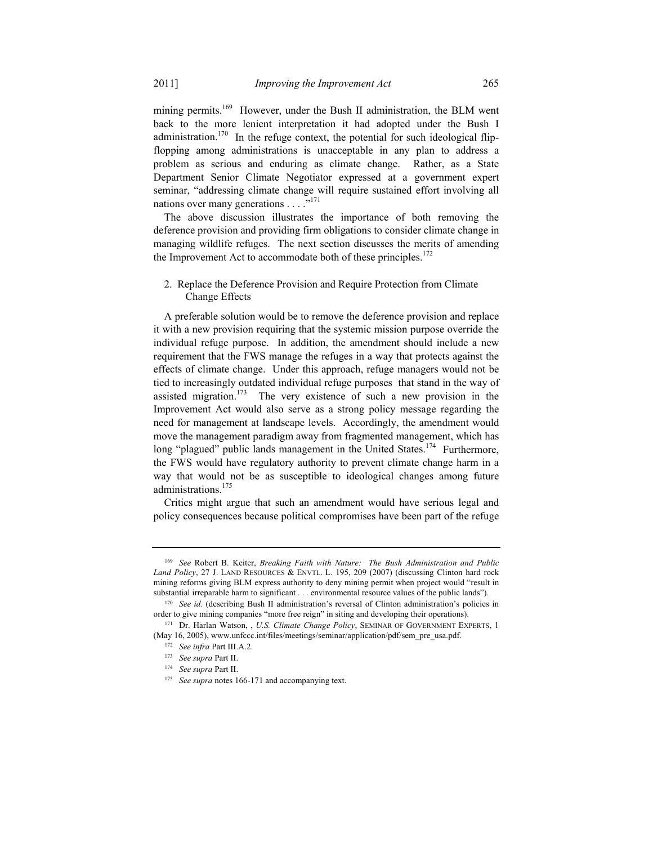mining permits.<sup>169</sup> However, under the Bush II administration, the BLM went back to the more lenient interpretation it had adopted under the Bush I administration.<sup>170</sup> In the refuge context, the potential for such ideological flipflopping among administrations is unacceptable in any plan to address a problem as serious and enduring as climate change. Rather, as a State Department Senior Climate Negotiator expressed at a government expert seminar, "addressing climate change will require sustained effort involving all nations over many generations . . . .<sup>"171</sup>

The above discussion illustrates the importance of both removing the deference provision and providing firm obligations to consider climate change in managing wildlife refuges. The next section discusses the merits of amending the Improvement Act to accommodate both of these principles.<sup>172</sup>

# 2. Replace the Deference Provision and Require Protection from Climate Change Effects

A preferable solution would be to remove the deference provision and replace it with a new provision requiring that the systemic mission purpose override the individual refuge purpose. In addition, the amendment should include a new requirement that the FWS manage the refuges in a way that protects against the effects of climate change. Under this approach, refuge managers would not be tied to increasingly outdated individual refuge purposes that stand in the way of assisted migration.<sup>173</sup> The very existence of such a new provision in the Improvement Act would also serve as a strong policy message regarding the need for management at landscape levels. Accordingly, the amendment would move the management paradigm away from fragmented management, which has long "plagued" public lands management in the United States.<sup>174</sup> Furthermore, the FWS would have regulatory authority to prevent climate change harm in a way that would not be as susceptible to ideological changes among future administrations.<sup>175</sup>

Critics might argue that such an amendment would have serious legal and policy consequences because political compromises have been part of the refuge

<sup>169</sup> *See* Robert B. Keiter, *Breaking Faith with Nature: The Bush Administration and Public Land Policy*, 27 J. LAND RESOURCES & ENVTL. L. 195, 209 (2007) (discussing Clinton hard rock mining reforms giving BLM express authority to deny mining permit when project would "result in substantial irreparable harm to significant . . . environmental resource values of the public lands"). 170 *See id.* (describing Bush II administration's reversal of Clinton administration's policies in

order to give mining companies "more free reign" in siting and developing their operations). 171 Dr. Harlan Watson, , *U.S. Climate Change Policy*, SEMINAR OF GOVERNMENT EXPERTS, 1

<sup>(</sup>May 16, 2005), www.unfccc.int/files/meetings/seminar/application/pdf/sem\_pre\_usa.pdf.

<sup>172</sup> *See infra* Part III.A.2.

<sup>173</sup> *See supra* Part II.

<sup>174</sup> *See supra* Part II.

<sup>&</sup>lt;sup>175</sup> See supra notes 166-171 and accompanying text.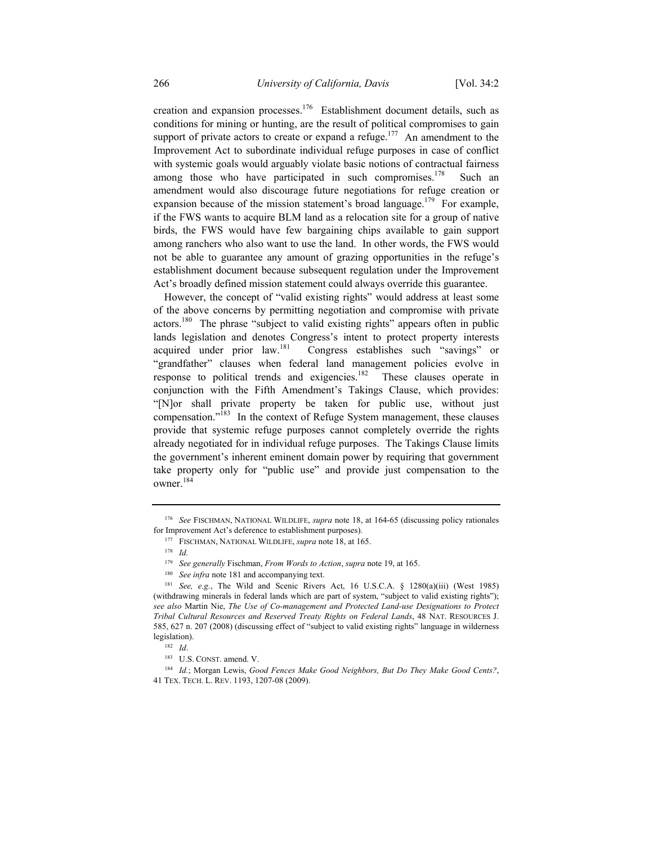creation and expansion processes.<sup>176</sup> Establishment document details, such as conditions for mining or hunting, are the result of political compromises to gain support of private actors to create or expand a refuge.<sup>177</sup> An amendment to the Improvement Act to subordinate individual refuge purposes in case of conflict with systemic goals would arguably violate basic notions of contractual fairness among those who have participated in such compromises.<sup>178</sup> Such an amendment would also discourage future negotiations for refuge creation or expansion because of the mission statement's broad language.<sup>179</sup> For example, if the FWS wants to acquire BLM land as a relocation site for a group of native birds, the FWS would have few bargaining chips available to gain support among ranchers who also want to use the land. In other words, the FWS would not be able to guarantee any amount of grazing opportunities in the refuge's establishment document because subsequent regulation under the Improvement Act's broadly defined mission statement could always override this guarantee.

However, the concept of "valid existing rights" would address at least some of the above concerns by permitting negotiation and compromise with private actors.<sup>180</sup> The phrase "subject to valid existing rights" appears often in public lands legislation and denotes Congress's intent to protect property interests acquired under prior law.181 Congress establishes such "savings" or "grandfather" clauses when federal land management policies evolve in response to political trends and exigencies.<sup>182</sup> These clauses operate in conjunction with the Fifth Amendment's Takings Clause, which provides: "[N]or shall private property be taken for public use, without just compensation."183 In the context of Refuge System management, these clauses provide that systemic refuge purposes cannot completely override the rights already negotiated for in individual refuge purposes. The Takings Clause limits the government's inherent eminent domain power by requiring that government take property only for "public use" and provide just compensation to the owner.184

<sup>180</sup> See infra note 181 and accompanying text.

<sup>176</sup> *See* FISCHMAN, NATIONAL WILDLIFE, *supra* note 18, at 164-65 (discussing policy rationales for Improvement Act's deference to establishment purposes).

<sup>177</sup> FISCHMAN, NATIONAL WILDLIFE, *supra* note 18, at 165.

<sup>178</sup> *Id.*

<sup>179</sup> *See generally* Fischman, *From Words to Action*, *supra* note 19, at 165.

<sup>181</sup> *See, e.g.*, The Wild and Scenic Rivers Act, 16 U.S.C.A. § 1280(a)(iii) (West 1985) (withdrawing minerals in federal lands which are part of system, "subject to valid existing rights"); *see also* Martin Nie, *The Use of Co-management and Protected Land-use Designations to Protect Tribal Cultural Resources and Reserved Treaty Rights on Federal Lands*, 48 NAT. RESOURCES J. 585, 627 n. 207 (2008) (discussing effect of "subject to valid existing rights" language in wilderness legislation). 182 *Id*.

<sup>183</sup> U.S. CONST. amend. V.

<sup>184</sup> *Id.*; Morgan Lewis, *Good Fences Make Good Neighbors, But Do They Make Good Cents?*, 41 TEX. TECH. L. REV. 1193, 1207-08 (2009).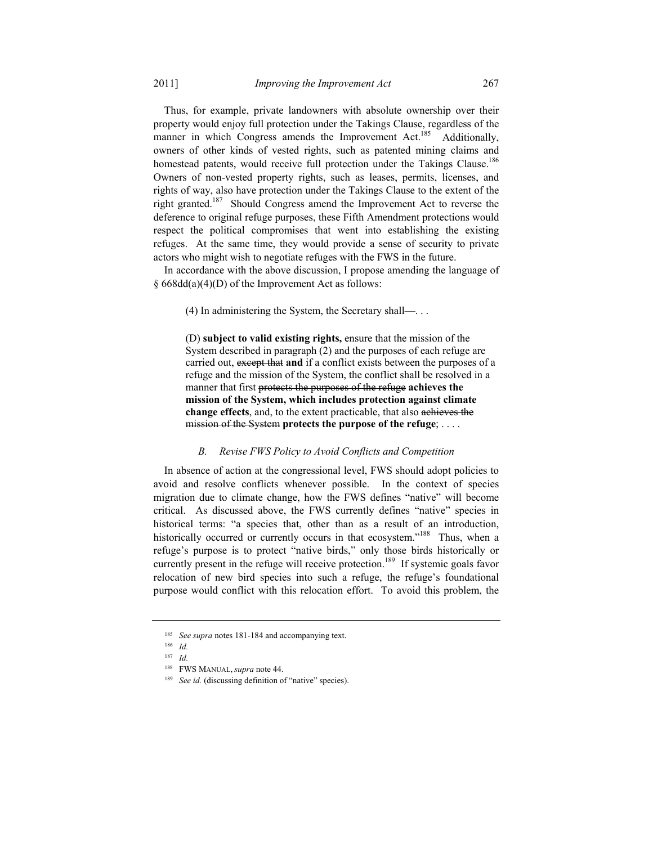Thus, for example, private landowners with absolute ownership over their property would enjoy full protection under the Takings Clause, regardless of the manner in which Congress amends the Improvement Act.<sup>185</sup> Additionally, owners of other kinds of vested rights, such as patented mining claims and homestead patents, would receive full protection under the Takings Clause.<sup>186</sup> Owners of non-vested property rights, such as leases, permits, licenses, and rights of way, also have protection under the Takings Clause to the extent of the right granted.187 Should Congress amend the Improvement Act to reverse the deference to original refuge purposes, these Fifth Amendment protections would respect the political compromises that went into establishing the existing refuges. At the same time, they would provide a sense of security to private actors who might wish to negotiate refuges with the FWS in the future.

In accordance with the above discussion, I propose amending the language of § 668dd(a)(4)(D) of the Improvement Act as follows:

(4) In administering the System, the Secretary shall—. . .

 (D) **subject to valid existing rights,** ensure that the mission of the System described in paragraph (2) and the purposes of each refuge are carried out, except that **and** if a conflict exists between the purposes of a refuge and the mission of the System, the conflict shall be resolved in a manner that first protects the purposes of the refuge **achieves the mission of the System, which includes protection against climate change effects**, and, to the extent practicable, that also achieves the mission of the System **protects the purpose of the refuge**; . . . .

# *B. Revise FWS Policy to Avoid Conflicts and Competition*

In absence of action at the congressional level, FWS should adopt policies to avoid and resolve conflicts whenever possible. In the context of species migration due to climate change, how the FWS defines "native" will become critical. As discussed above, the FWS currently defines "native" species in historical terms: "a species that, other than as a result of an introduction, historically occurred or currently occurs in that ecosystem."<sup>188</sup> Thus, when a refuge's purpose is to protect "native birds," only those birds historically or currently present in the refuge will receive protection.<sup>189</sup> If systemic goals favor relocation of new bird species into such a refuge, the refuge's foundational purpose would conflict with this relocation effort. To avoid this problem, the

<sup>185</sup> *See supra* notes 181-184 and accompanying text.

<sup>186</sup> *Id.*

<sup>187</sup> *Id.*

<sup>188</sup> FWS MANUAL, *supra* note 44.

<sup>&</sup>lt;sup>189</sup> See id. (discussing definition of "native" species).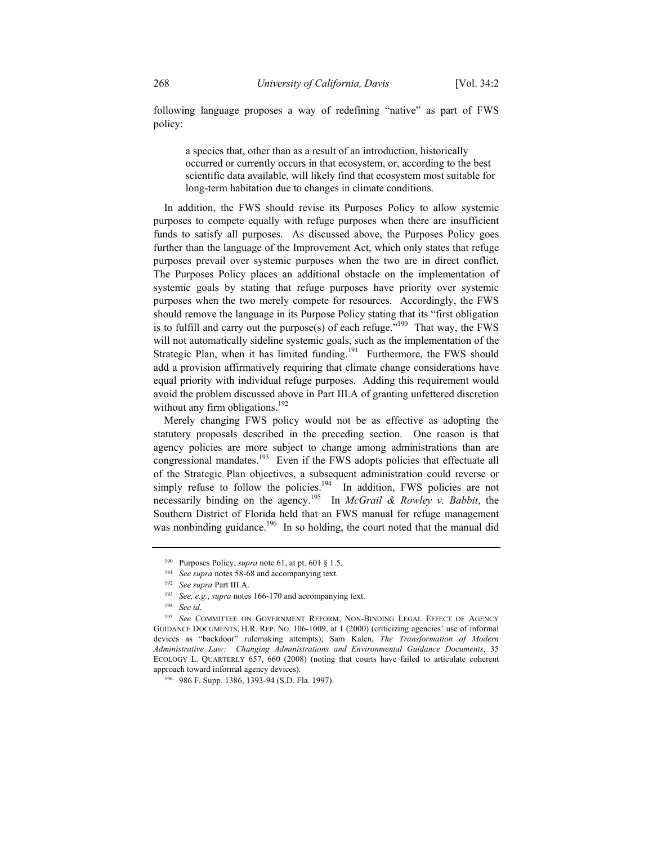following language proposes a way of redefining "native" as part of FWS policy:

 a species that, other than as a result of an introduction, historically occurred or currently occurs in that ecosystem, or, according to the best scientific data available, will likely find that ecosystem most suitable for long-term habitation due to changes in climate conditions.

In addition, the FWS should revise its Purposes Policy to allow systemic purposes to compete equally with refuge purposes when there are insufficient funds to satisfy all purposes. As discussed above, the Purposes Policy goes further than the language of the Improvement Act, which only states that refuge purposes prevail over systemic purposes when the two are in direct conflict. The Purposes Policy places an additional obstacle on the implementation of systemic goals by stating that refuge purposes have priority over systemic purposes when the two merely compete for resources. Accordingly, the FWS should remove the language in its Purpose Policy stating that its "first obligation is to fulfill and carry out the purpose(s) of each refuge. $190^\circ$  That way, the FWS will not automatically sideline systemic goals, such as the implementation of the Strategic Plan, when it has limited funding.<sup>191</sup> Furthermore, the FWS should add a provision affirmatively requiring that climate change considerations have equal priority with individual refuge purposes. Adding this requirement would avoid the problem discussed above in Part III.A of granting unfettered discretion without any firm obligations.<sup>192</sup>

Merely changing FWS policy would not be as effective as adopting the statutory proposals described in the preceding section. One reason is that agency policies are more subject to change among administrations than are congressional mandates.193 Even if the FWS adopts policies that effectuate all of the Strategic Plan objectives, a subsequent administration could reverse or simply refuse to follow the policies.<sup>194</sup> In addition, FWS policies are not necessarily binding on the agency.195 In *McGrail & Rowley v. Babbit*, the Southern District of Florida held that an FWS manual for refuge management was nonbinding guidance.<sup>196</sup> In so holding, the court noted that the manual did

<sup>&</sup>lt;sup>190</sup> Purposes Policy, *supra* note 61, at pt. 601 § 1.5.<br><sup>191</sup> See supra notes 58-68 and accompanying text.<br><sup>192</sup> See supra Part III.A.<br><sup>193</sup> See, e.g., *supra* notes 166-170 and accompanying text.<br><sup>194</sup> See id.<br><sup>195</sup> Se GUIDANCE DOCUMENTS, H.R. REP. NO. 106-1009, at 1 (2000) (criticizing agencies' use of informal devices as "backdoor" rulemaking attempts); Sam Kalen, *The Transformation of Modern Administrative Law: Changing Administrations and Environmental Guidance Documents*, 35 ECOLOGY L. QUARTERLY 657, 660 (2008) (noting that courts have failed to articulate coherent approach toward informal agency devices).

<sup>196 986</sup> F. Supp. 1386, 1393-94 (S.D. Fla. 1997).